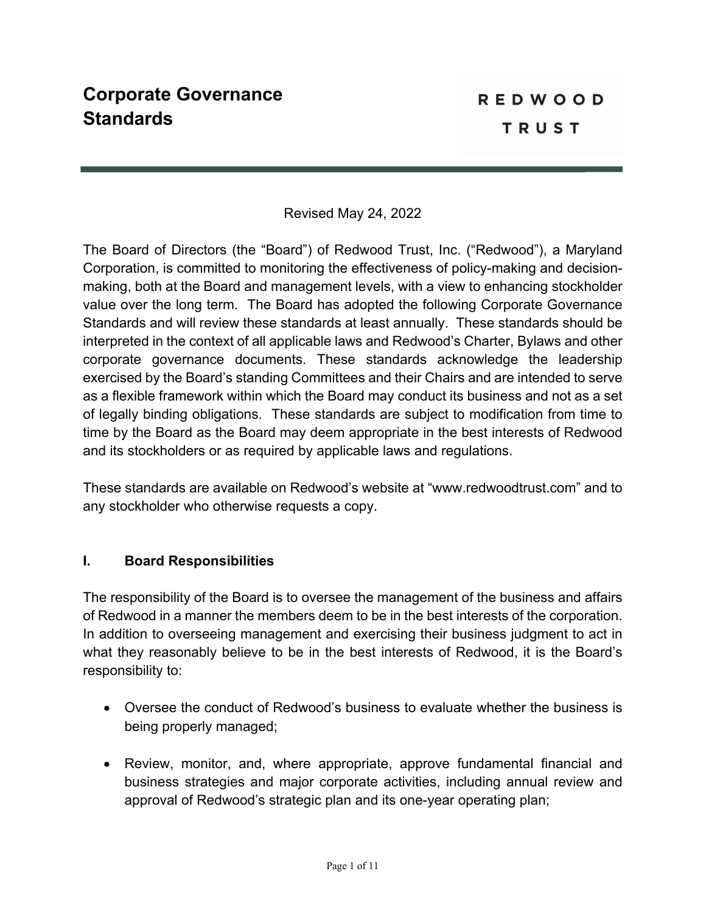### Revised May 24, 2022

The Board of Directors (the "Board") of Redwood Trust, Inc. ("Redwood"), a Maryland Corporation, is committed to monitoring the effectiveness of policy-making and decisionmaking, both at the Board and management levels, with a view to enhancing stockholder value over the long term. The Board has adopted the following Corporate Governance Standards and will review these standards at least annually. These standards should be interpreted in the context of all applicable laws and Redwood's Charter, Bylaws and other corporate governance documents. These standards acknowledge the leadership exercised by the Board's standing Committees and their Chairs and are intended to serve as a flexible framework within which the Board may conduct its business and not as a set of legally binding obligations. These standards are subject to modification from time to time by the Board as the Board may deem appropriate in the best interests of Redwood and its stockholders or as required by applicable laws and regulations.

These standards are available on Redwood's website at "www.redwoodtrust.com" and to any stockholder who otherwise requests a copy.

#### **I. Board Responsibilities**

The responsibility of the Board is to oversee the management of the business and affairs of Redwood in a manner the members deem to be in the best interests of the corporation. In addition to overseeing management and exercising their business judgment to act in what they reasonably believe to be in the best interests of Redwood, it is the Board's responsibility to:

- Oversee the conduct of Redwood's business to evaluate whether the business is being properly managed;
- Review, monitor, and, where appropriate, approve fundamental financial and business strategies and major corporate activities, including annual review and approval of Redwood's strategic plan and its one-year operating plan;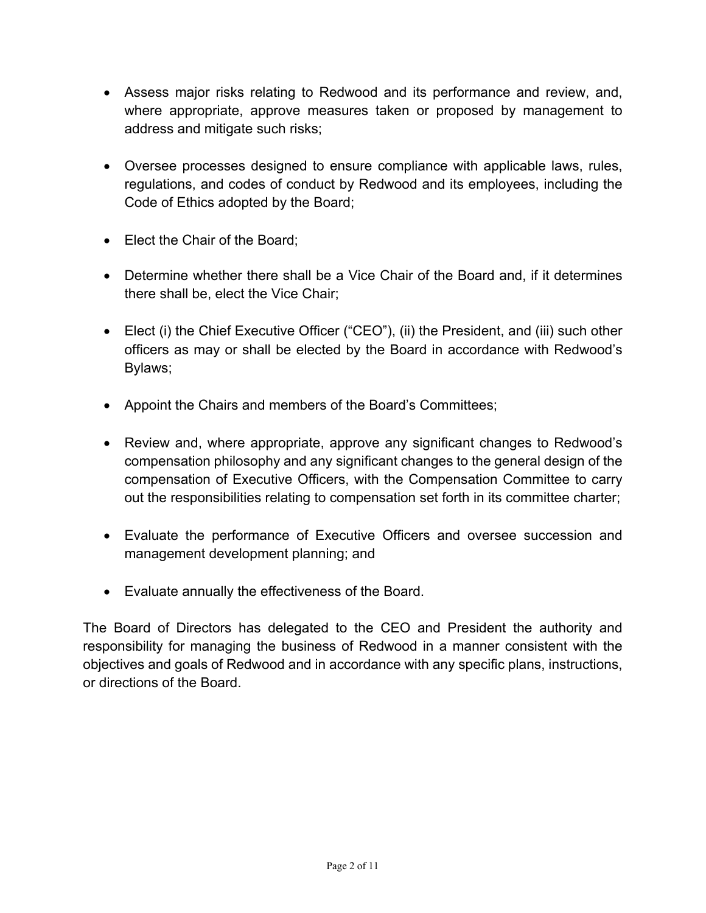- Assess major risks relating to Redwood and its performance and review, and, where appropriate, approve measures taken or proposed by management to address and mitigate such risks;
- Oversee processes designed to ensure compliance with applicable laws, rules, regulations, and codes of conduct by Redwood and its employees, including the Code of Ethics adopted by the Board;
- Elect the Chair of the Board;
- Determine whether there shall be a Vice Chair of the Board and, if it determines there shall be, elect the Vice Chair;
- Elect (i) the Chief Executive Officer ("CEO"), (ii) the President, and (iii) such other officers as may or shall be elected by the Board in accordance with Redwood's Bylaws;
- Appoint the Chairs and members of the Board's Committees;
- Review and, where appropriate, approve any significant changes to Redwood's compensation philosophy and any significant changes to the general design of the compensation of Executive Officers, with the Compensation Committee to carry out the responsibilities relating to compensation set forth in its committee charter;
- Evaluate the performance of Executive Officers and oversee succession and management development planning; and
- Evaluate annually the effectiveness of the Board.

The Board of Directors has delegated to the CEO and President the authority and responsibility for managing the business of Redwood in a manner consistent with the objectives and goals of Redwood and in accordance with any specific plans, instructions, or directions of the Board.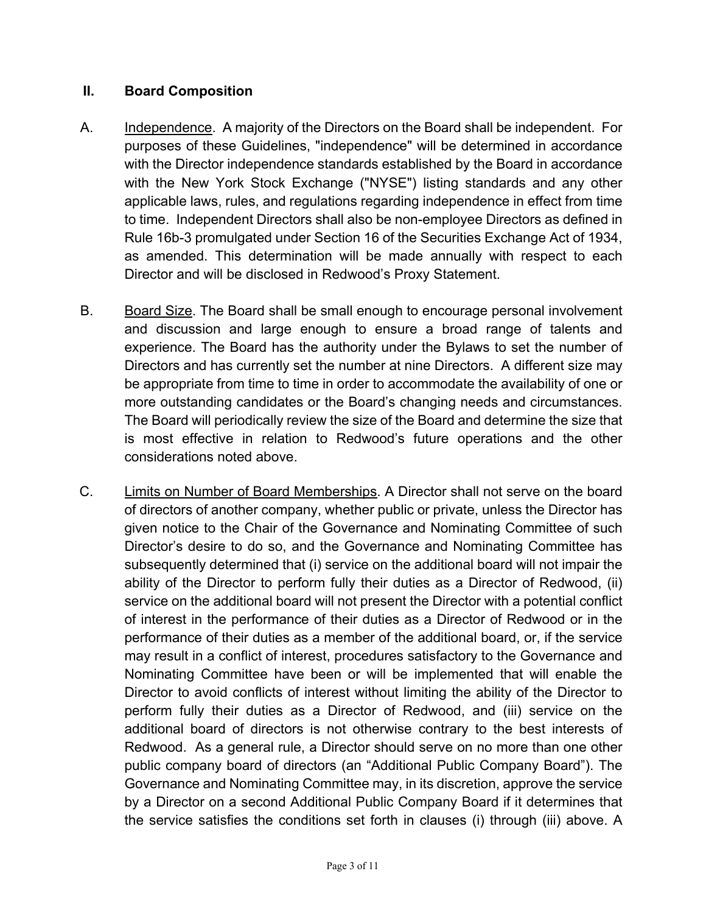#### **II. Board Composition**

- A. Independence. A majority of the Directors on the Board shall be independent. For purposes of these Guidelines, "independence" will be determined in accordance with the Director independence standards established by the Board in accordance with the New York Stock Exchange ("NYSE") listing standards and any other applicable laws, rules, and regulations regarding independence in effect from time to time. Independent Directors shall also be non-employee Directors as defined in Rule 16b-3 promulgated under Section 16 of the Securities Exchange Act of 1934, as amended. This determination will be made annually with respect to each Director and will be disclosed in Redwood's Proxy Statement.
- B. Board Size. The Board shall be small enough to encourage personal involvement and discussion and large enough to ensure a broad range of talents and experience. The Board has the authority under the Bylaws to set the number of Directors and has currently set the number at nine Directors. A different size may be appropriate from time to time in order to accommodate the availability of one or more outstanding candidates or the Board's changing needs and circumstances. The Board will periodically review the size of the Board and determine the size that is most effective in relation to Redwood's future operations and the other considerations noted above.
- C. Limits on Number of Board Memberships. A Director shall not serve on the board of directors of another company, whether public or private, unless the Director has given notice to the Chair of the Governance and Nominating Committee of such Director's desire to do so, and the Governance and Nominating Committee has subsequently determined that (i) service on the additional board will not impair the ability of the Director to perform fully their duties as a Director of Redwood, (ii) service on the additional board will not present the Director with a potential conflict of interest in the performance of their duties as a Director of Redwood or in the performance of their duties as a member of the additional board, or, if the service may result in a conflict of interest, procedures satisfactory to the Governance and Nominating Committee have been or will be implemented that will enable the Director to avoid conflicts of interest without limiting the ability of the Director to perform fully their duties as a Director of Redwood, and (iii) service on the additional board of directors is not otherwise contrary to the best interests of Redwood. As a general rule, a Director should serve on no more than one other public company board of directors (an "Additional Public Company Board"). The Governance and Nominating Committee may, in its discretion, approve the service by a Director on a second Additional Public Company Board if it determines that the service satisfies the conditions set forth in clauses (i) through (iii) above. A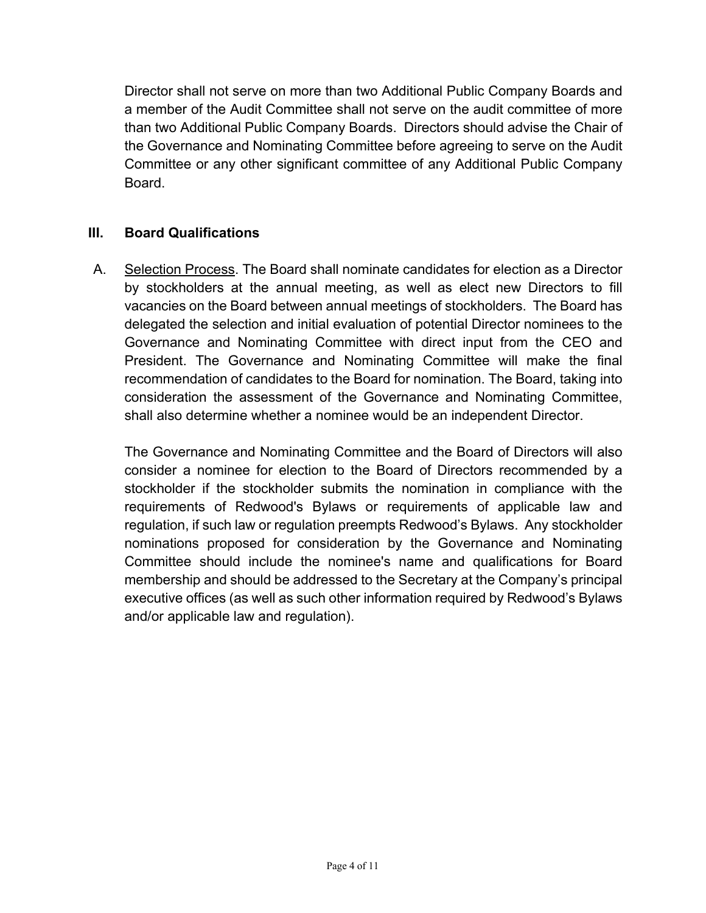Director shall not serve on more than two Additional Public Company Boards and a member of the Audit Committee shall not serve on the audit committee of more than two Additional Public Company Boards. Directors should advise the Chair of the Governance and Nominating Committee before agreeing to serve on the Audit Committee or any other significant committee of any Additional Public Company Board.

# **III. Board Qualifications**

A. Selection Process. The Board shall nominate candidates for election as a Director by stockholders at the annual meeting, as well as elect new Directors to fill vacancies on the Board between annual meetings of stockholders. The Board has delegated the selection and initial evaluation of potential Director nominees to the Governance and Nominating Committee with direct input from the CEO and President. The Governance and Nominating Committee will make the final recommendation of candidates to the Board for nomination. The Board, taking into consideration the assessment of the Governance and Nominating Committee, shall also determine whether a nominee would be an independent Director.

The Governance and Nominating Committee and the Board of Directors will also consider a nominee for election to the Board of Directors recommended by a stockholder if the stockholder submits the nomination in compliance with the requirements of Redwood's Bylaws or requirements of applicable law and regulation, if such law or regulation preempts Redwood's Bylaws. Any stockholder nominations proposed for consideration by the Governance and Nominating Committee should include the nominee's name and qualifications for Board membership and should be addressed to the Secretary at the Company's principal executive offices (as well as such other information required by Redwood's Bylaws and/or applicable law and regulation).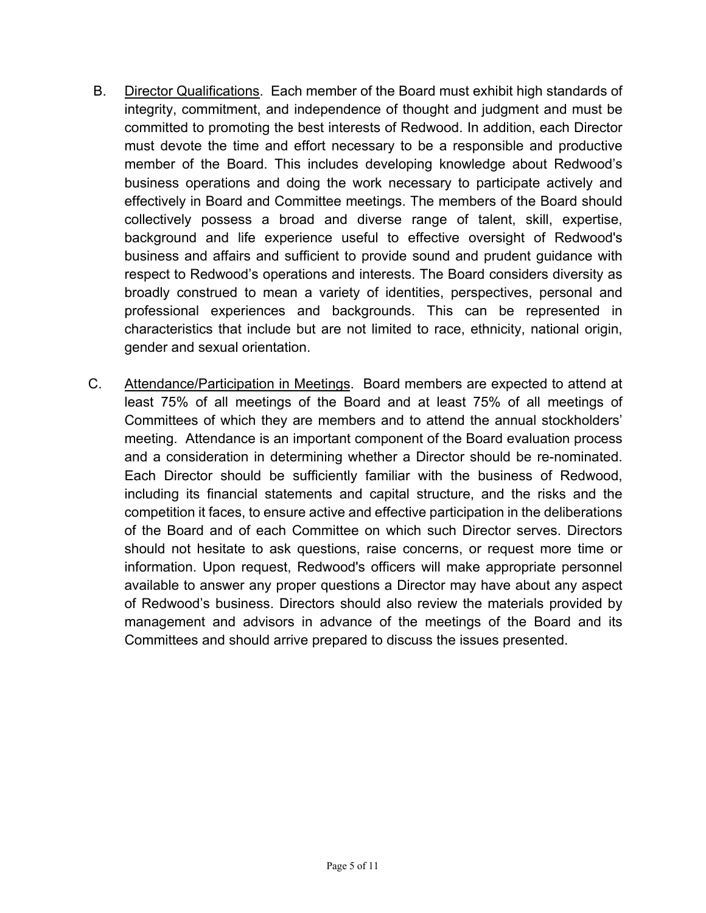- B. Director Qualifications. Each member of the Board must exhibit high standards of integrity, commitment, and independence of thought and judgment and must be committed to promoting the best interests of Redwood. In addition, each Director must devote the time and effort necessary to be a responsible and productive member of the Board. This includes developing knowledge about Redwood's business operations and doing the work necessary to participate actively and effectively in Board and Committee meetings. The members of the Board should collectively possess a broad and diverse range of talent, skill, expertise, background and life experience useful to effective oversight of Redwood's business and affairs and sufficient to provide sound and prudent guidance with respect to Redwood's operations and interests. The Board considers diversity as broadly construed to mean a variety of identities, perspectives, personal and professional experiences and backgrounds. This can be represented in characteristics that include but are not limited to race, ethnicity, national origin, gender and sexual orientation.
- C. Attendance/Participation in Meetings. Board members are expected to attend at least 75% of all meetings of the Board and at least 75% of all meetings of Committees of which they are members and to attend the annual stockholders' meeting. Attendance is an important component of the Board evaluation process and a consideration in determining whether a Director should be re-nominated. Each Director should be sufficiently familiar with the business of Redwood, including its financial statements and capital structure, and the risks and the competition it faces, to ensure active and effective participation in the deliberations of the Board and of each Committee on which such Director serves. Directors should not hesitate to ask questions, raise concerns, or request more time or information. Upon request, Redwood's officers will make appropriate personnel available to answer any proper questions a Director may have about any aspect of Redwood's business. Directors should also review the materials provided by management and advisors in advance of the meetings of the Board and its Committees and should arrive prepared to discuss the issues presented.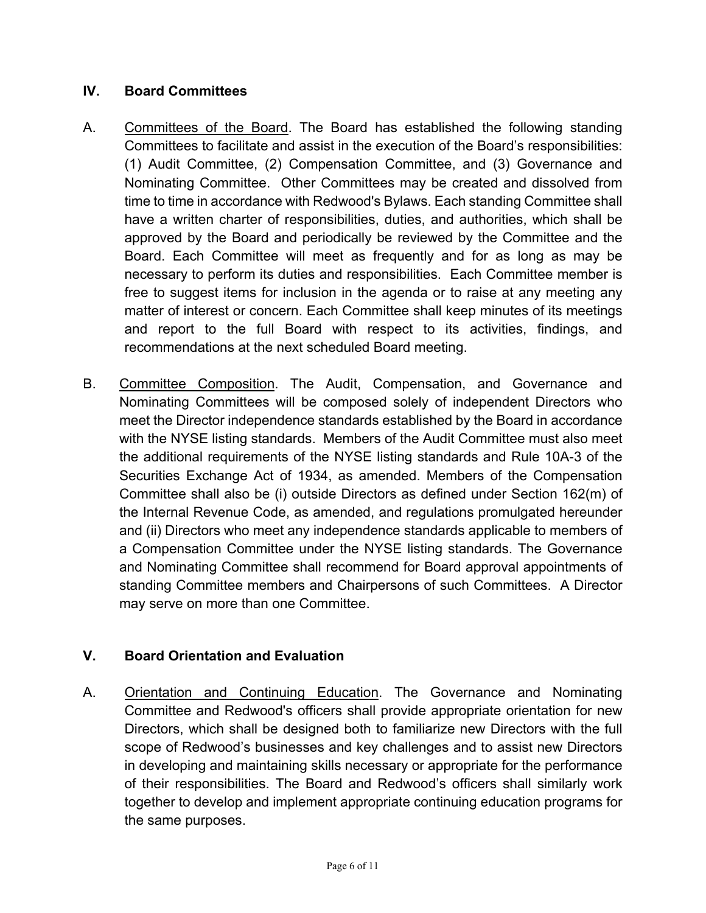# **IV. Board Committees**

- A. Committees of the Board. The Board has established the following standing Committees to facilitate and assist in the execution of the Board's responsibilities: (1) Audit Committee, (2) Compensation Committee, and (3) Governance and Nominating Committee. Other Committees may be created and dissolved from time to time in accordance with Redwood's Bylaws. Each standing Committee shall have a written charter of responsibilities, duties, and authorities, which shall be approved by the Board and periodically be reviewed by the Committee and the Board. Each Committee will meet as frequently and for as long as may be necessary to perform its duties and responsibilities. Each Committee member is free to suggest items for inclusion in the agenda or to raise at any meeting any matter of interest or concern. Each Committee shall keep minutes of its meetings and report to the full Board with respect to its activities, findings, and recommendations at the next scheduled Board meeting.
- B. Committee Composition. The Audit, Compensation, and Governance and Nominating Committees will be composed solely of independent Directors who meet the Director independence standards established by the Board in accordance with the NYSE listing standards. Members of the Audit Committee must also meet the additional requirements of the NYSE listing standards and Rule 10A-3 of the Securities Exchange Act of 1934, as amended. Members of the Compensation Committee shall also be (i) outside Directors as defined under Section 162(m) of the Internal Revenue Code, as amended, and regulations promulgated hereunder and (ii) Directors who meet any independence standards applicable to members of a Compensation Committee under the NYSE listing standards. The Governance and Nominating Committee shall recommend for Board approval appointments of standing Committee members and Chairpersons of such Committees. A Director may serve on more than one Committee.

# **V. Board Orientation and Evaluation**

A. Orientation and Continuing Education. The Governance and Nominating Committee and Redwood's officers shall provide appropriate orientation for new Directors, which shall be designed both to familiarize new Directors with the full scope of Redwood's businesses and key challenges and to assist new Directors in developing and maintaining skills necessary or appropriate for the performance of their responsibilities. The Board and Redwood's officers shall similarly work together to develop and implement appropriate continuing education programs for the same purposes.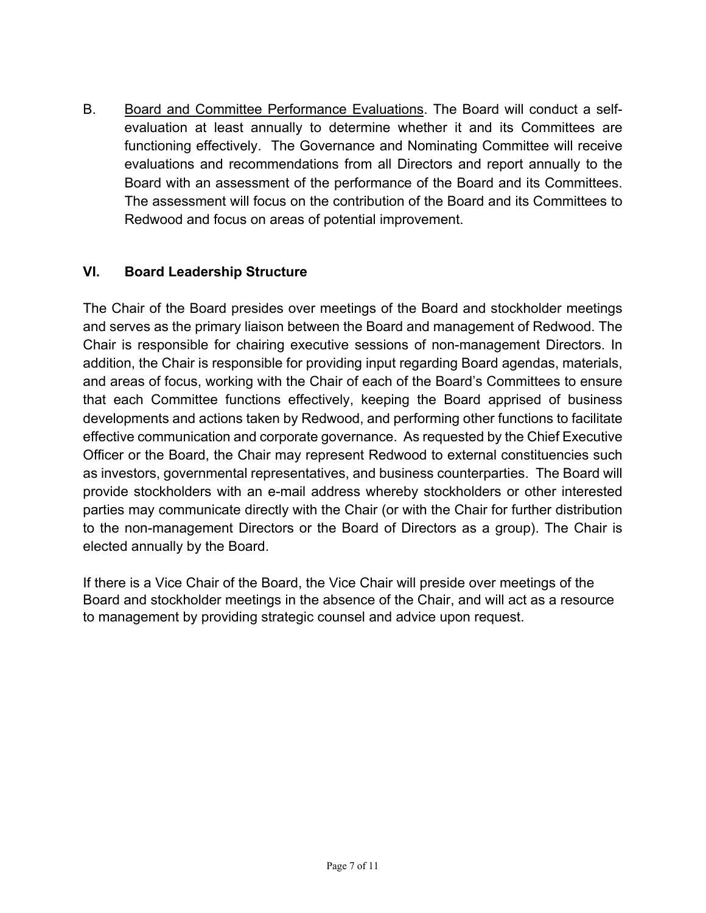B. Board and Committee Performance Evaluations. The Board will conduct a selfevaluation at least annually to determine whether it and its Committees are functioning effectively. The Governance and Nominating Committee will receive evaluations and recommendations from all Directors and report annually to the Board with an assessment of the performance of the Board and its Committees. The assessment will focus on the contribution of the Board and its Committees to Redwood and focus on areas of potential improvement.

# **VI. Board Leadership Structure**

The Chair of the Board presides over meetings of the Board and stockholder meetings and serves as the primary liaison between the Board and management of Redwood. The Chair is responsible for chairing executive sessions of non-management Directors. In addition, the Chair is responsible for providing input regarding Board agendas, materials, and areas of focus, working with the Chair of each of the Board's Committees to ensure that each Committee functions effectively, keeping the Board apprised of business developments and actions taken by Redwood, and performing other functions to facilitate effective communication and corporate governance. As requested by the Chief Executive Officer or the Board, the Chair may represent Redwood to external constituencies such as investors, governmental representatives, and business counterparties. The Board will provide stockholders with an e-mail address whereby stockholders or other interested parties may communicate directly with the Chair (or with the Chair for further distribution to the non-management Directors or the Board of Directors as a group). The Chair is elected annually by the Board.

If there is a Vice Chair of the Board, the Vice Chair will preside over meetings of the Board and stockholder meetings in the absence of the Chair, and will act as a resource to management by providing strategic counsel and advice upon request.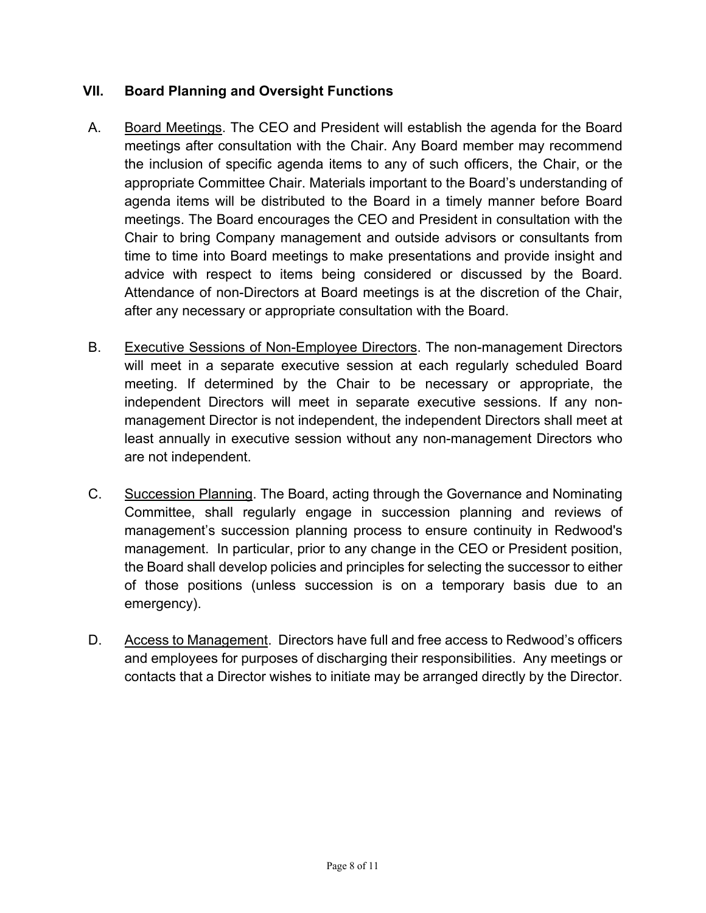### **VII. Board Planning and Oversight Functions**

- A. Board Meetings. The CEO and President will establish the agenda for the Board meetings after consultation with the Chair. Any Board member may recommend the inclusion of specific agenda items to any of such officers, the Chair, or the appropriate Committee Chair. Materials important to the Board's understanding of agenda items will be distributed to the Board in a timely manner before Board meetings. The Board encourages the CEO and President in consultation with the Chair to bring Company management and outside advisors or consultants from time to time into Board meetings to make presentations and provide insight and advice with respect to items being considered or discussed by the Board. Attendance of non-Directors at Board meetings is at the discretion of the Chair, after any necessary or appropriate consultation with the Board.
- B. Executive Sessions of Non-Employee Directors. The non-management Directors will meet in a separate executive session at each regularly scheduled Board meeting. If determined by the Chair to be necessary or appropriate, the independent Directors will meet in separate executive sessions. If any nonmanagement Director is not independent, the independent Directors shall meet at least annually in executive session without any non-management Directors who are not independent.
- C. Succession Planning. The Board, acting through the Governance and Nominating Committee, shall regularly engage in succession planning and reviews of management's succession planning process to ensure continuity in Redwood's management. In particular, prior to any change in the CEO or President position, the Board shall develop policies and principles for selecting the successor to either of those positions (unless succession is on a temporary basis due to an emergency).
- D. Access to Management. Directors have full and free access to Redwood's officers and employees for purposes of discharging their responsibilities. Any meetings or contacts that a Director wishes to initiate may be arranged directly by the Director.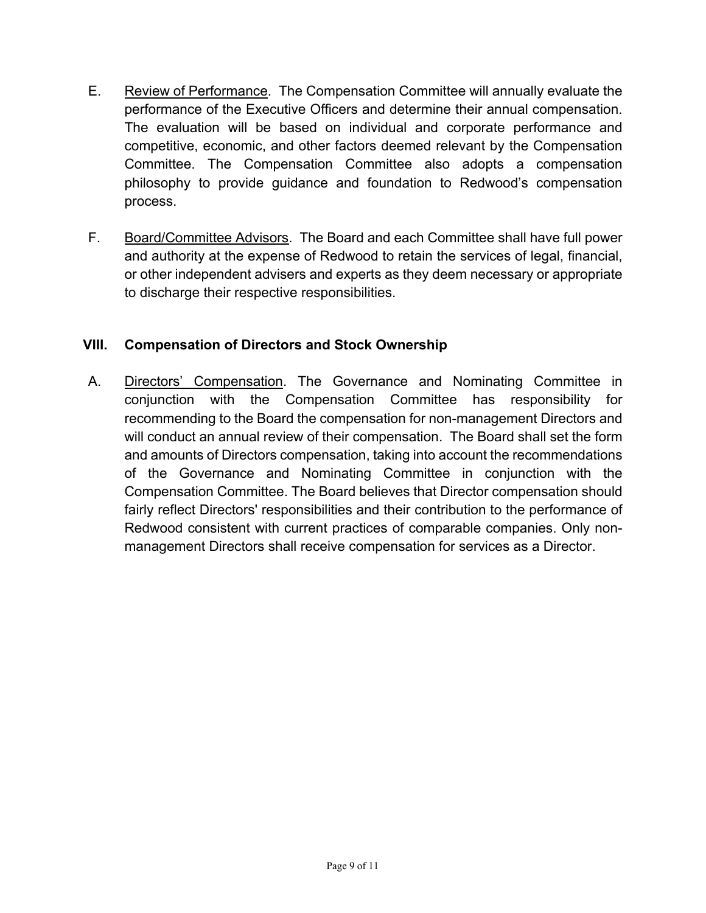- E. Review of Performance. The Compensation Committee will annually evaluate the performance of the Executive Officers and determine their annual compensation. The evaluation will be based on individual and corporate performance and competitive, economic, and other factors deemed relevant by the Compensation Committee. The Compensation Committee also adopts a compensation philosophy to provide guidance and foundation to Redwood's compensation process.
- F. Board/Committee Advisors. The Board and each Committee shall have full power and authority at the expense of Redwood to retain the services of legal, financial, or other independent advisers and experts as they deem necessary or appropriate to discharge their respective responsibilities.

#### **VIII. Compensation of Directors and Stock Ownership**

A. Directors' Compensation. The Governance and Nominating Committee in conjunction with the Compensation Committee has responsibility for recommending to the Board the compensation for non-management Directors and will conduct an annual review of their compensation. The Board shall set the form and amounts of Directors compensation, taking into account the recommendations of the Governance and Nominating Committee in conjunction with the Compensation Committee. The Board believes that Director compensation should fairly reflect Directors' responsibilities and their contribution to the performance of Redwood consistent with current practices of comparable companies. Only nonmanagement Directors shall receive compensation for services as a Director.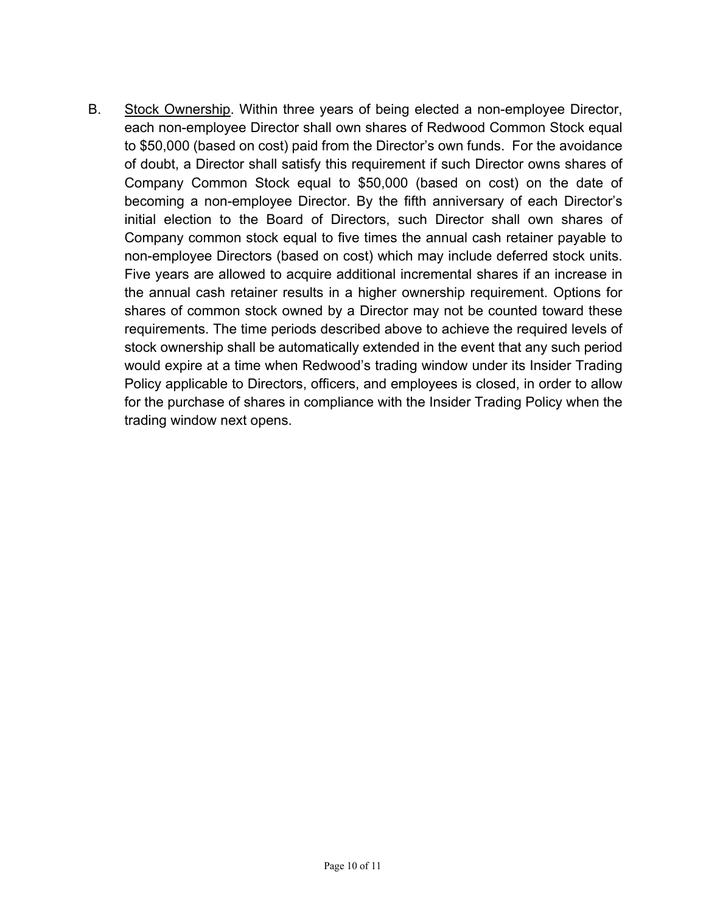B. Stock Ownership. Within three years of being elected a non-employee Director, each non-employee Director shall own shares of Redwood Common Stock equal to \$50,000 (based on cost) paid from the Director's own funds. For the avoidance of doubt, a Director shall satisfy this requirement if such Director owns shares of Company Common Stock equal to \$50,000 (based on cost) on the date of becoming a non-employee Director. By the fifth anniversary of each Director's initial election to the Board of Directors, such Director shall own shares of Company common stock equal to five times the annual cash retainer payable to non-employee Directors (based on cost) which may include deferred stock units. Five years are allowed to acquire additional incremental shares if an increase in the annual cash retainer results in a higher ownership requirement. Options for shares of common stock owned by a Director may not be counted toward these requirements. The time periods described above to achieve the required levels of stock ownership shall be automatically extended in the event that any such period would expire at a time when Redwood's trading window under its Insider Trading Policy applicable to Directors, officers, and employees is closed, in order to allow for the purchase of shares in compliance with the Insider Trading Policy when the trading window next opens.